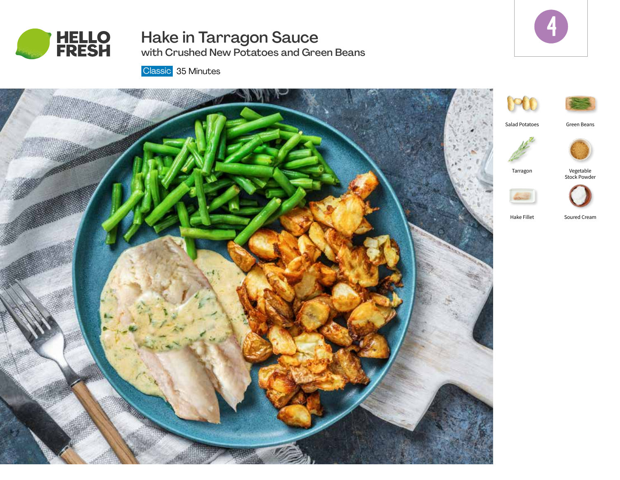

# Hake in Tarragon Sauce



with Crushed New Potatoes and Green Beans